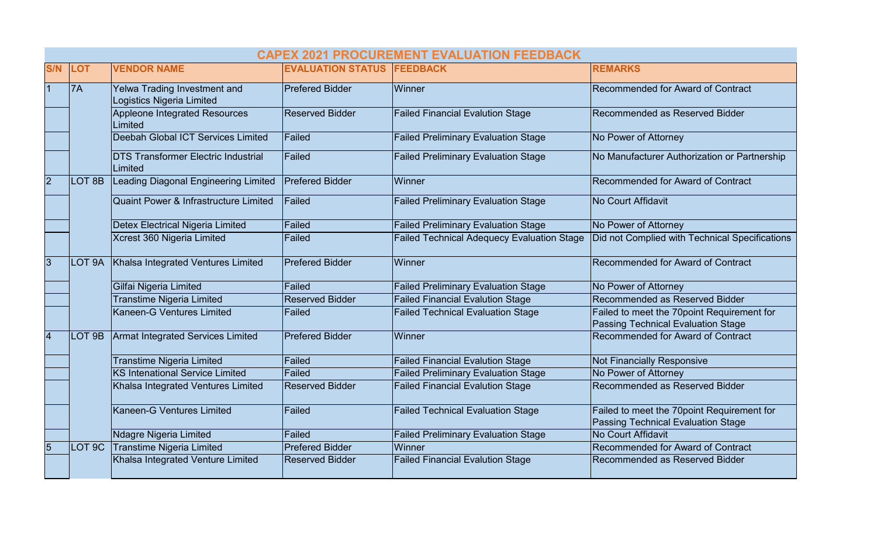|             | <b>CAPEX 2021 PROCUREMENT EVALUATION FEEDBACK</b> |                                                                  |                                   |                                                   |                                                                                         |  |  |  |
|-------------|---------------------------------------------------|------------------------------------------------------------------|-----------------------------------|---------------------------------------------------|-----------------------------------------------------------------------------------------|--|--|--|
| <b>S/N</b>  | <b>LOT</b>                                        | <b>VENDOR NAME</b>                                               | <b>EVALUATION STATUS FEEDBACK</b> |                                                   | <b>REMARKS</b>                                                                          |  |  |  |
|             | 7A                                                | Yelwa Trading Investment and<br><b>Logistics Nigeria Limited</b> | <b>Prefered Bidder</b>            | Winner                                            | Recommended for Award of Contract                                                       |  |  |  |
|             |                                                   | Appleone Integrated Resources<br>Limited                         | <b>Reserved Bidder</b>            | <b>Failed Financial Evalution Stage</b>           | Recommended as Reserved Bidder                                                          |  |  |  |
|             |                                                   | Deebah Global ICT Services Limited                               | Failed                            | <b>Failed Preliminary Evaluation Stage</b>        | No Power of Attorney                                                                    |  |  |  |
|             |                                                   | <b>DTS Transformer Electric Industrial</b><br>Limited            | Failed                            | <b>Failed Preliminary Evaluation Stage</b>        | No Manufacturer Authorization or Partnership                                            |  |  |  |
| $ 2\rangle$ | LOT <sub>8B</sub>                                 | Leading Diagonal Engineering Limited                             | <b>Prefered Bidder</b>            | Winner                                            | Recommended for Award of Contract                                                       |  |  |  |
|             |                                                   | <b>Quaint Power &amp; Infrastructure Limited</b>                 | Failed                            | <b>Failed Preliminary Evaluation Stage</b>        | No Court Affidavit                                                                      |  |  |  |
|             |                                                   | Detex Electrical Nigeria Limited                                 | Failed                            | <b>Failed Preliminary Evaluation Stage</b>        | No Power of Attorney                                                                    |  |  |  |
|             |                                                   | Xcrest 360 Nigeria Limited                                       | <b>Failed</b>                     | <b>Failed Technical Adequecy Evaluation Stage</b> | Did not Complied with Technical Specifications                                          |  |  |  |
| 3           | LOT 9A                                            | Khalsa Integrated Ventures Limited                               | <b>Prefered Bidder</b>            | Winner                                            | Recommended for Award of Contract                                                       |  |  |  |
|             |                                                   | Gilfai Nigeria Limited                                           | Failed                            | <b>Failed Preliminary Evaluation Stage</b>        | No Power of Attorney                                                                    |  |  |  |
|             |                                                   | <b>Transtime Nigeria Limited</b>                                 | <b>Reserved Bidder</b>            | <b>Failed Financial Evalution Stage</b>           | Recommended as Reserved Bidder                                                          |  |  |  |
|             |                                                   | Kaneen-G Ventures Limited                                        | Failed                            | <b>Failed Technical Evaluation Stage</b>          | Failed to meet the 70point Requirement for<br><b>Passing Technical Evaluation Stage</b> |  |  |  |
|             | LOT 9B                                            | <b>Armat Integrated Services Limited</b>                         | <b>Prefered Bidder</b>            | Winner                                            | Recommended for Award of Contract                                                       |  |  |  |
|             |                                                   | <b>Transtime Nigeria Limited</b>                                 | Failed                            | <b>Failed Financial Evalution Stage</b>           | <b>Not Financially Responsive</b>                                                       |  |  |  |
|             |                                                   | <b>KS Intenational Service Limited</b>                           | Failed                            | <b>Failed Preliminary Evaluation Stage</b>        | No Power of Attorney                                                                    |  |  |  |
|             |                                                   | Khalsa Integrated Ventures Limited                               | <b>Reserved Bidder</b>            | <b>Failed Financial Evalution Stage</b>           | Recommended as Reserved Bidder                                                          |  |  |  |
|             |                                                   | Kaneen-G Ventures Limited                                        | Failed                            | <b>Failed Technical Evaluation Stage</b>          | Failed to meet the 70point Requirement for<br><b>Passing Technical Evaluation Stage</b> |  |  |  |
|             |                                                   | Ndagre Nigeria Limited                                           | Failed                            | <b>Failed Preliminary Evaluation Stage</b>        | <b>No Court Affidavit</b>                                                               |  |  |  |
| 5           | LOT <sub>9</sub> C                                | <b>Transtime Nigeria Limited</b>                                 | <b>Prefered Bidder</b>            | Winner                                            | Recommended for Award of Contract                                                       |  |  |  |
|             |                                                   | Khalsa Integrated Venture Limited                                | Reserved Bidder                   | <b>Failed Financial Evalution Stage</b>           | Recommended as Reserved Bidder                                                          |  |  |  |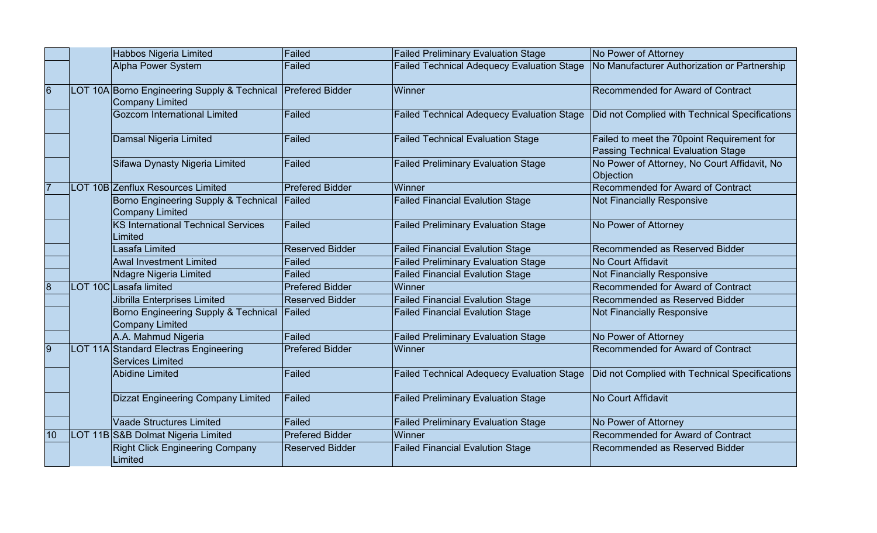|                | Habbos Nigeria Limited                                           | Failed                 | <b>Failed Preliminary Evaluation Stage</b>        | No Power of Attorney                                                                    |
|----------------|------------------------------------------------------------------|------------------------|---------------------------------------------------|-----------------------------------------------------------------------------------------|
|                | Alpha Power System                                               | Failed                 | <b>Failed Technical Adequecy Evaluation Stage</b> | No Manufacturer Authorization or Partnership                                            |
| $\overline{6}$ | LOT 10A Borno Engineering Supply & Technical<br>Company Limited  | <b>Prefered Bidder</b> | Winner                                            | Recommended for Award of Contract                                                       |
|                | <b>Gozcom International Limited</b>                              | Failed                 | <b>Failed Technical Adequecy Evaluation Stage</b> | Did not Complied with Technical Specifications                                          |
|                | Damsal Nigeria Limited                                           | Failed                 | <b>Failed Technical Evaluation Stage</b>          | Failed to meet the 70point Requirement for<br><b>Passing Technical Evaluation Stage</b> |
|                | Sifawa Dynasty Nigeria Limited                                   | Failed                 | <b>Failed Preliminary Evaluation Stage</b>        | No Power of Attorney, No Court Affidavit, No<br>Objection                               |
| 7              | LOT 10B Zenflux Resources Limited                                | <b>Prefered Bidder</b> | Winner                                            | Recommended for Award of Contract                                                       |
|                | Borno Engineering Supply & Technical<br><b>Company Limited</b>   | Failed                 | <b>Failed Financial Evalution Stage</b>           | <b>Not Financially Responsive</b>                                                       |
|                | KS International Technical Services<br>Limited                   | Failed                 | <b>Failed Preliminary Evaluation Stage</b>        | No Power of Attorney                                                                    |
|                | Lasafa Limited                                                   | Reserved Bidder        | <b>Failed Financial Evalution Stage</b>           | Recommended as Reserved Bidder                                                          |
|                | <b>Awal Investment Limited</b>                                   | Failed                 | <b>Failed Preliminary Evaluation Stage</b>        | No Court Affidavit                                                                      |
|                | Ndagre Nigeria Limited                                           | Failed                 | <b>Failed Financial Evalution Stage</b>           | <b>Not Financially Responsive</b>                                                       |
| 8              | LOT 10C Lasafa limited                                           | Prefered Bidder        | Winner                                            | Recommended for Award of Contract                                                       |
|                | <b>Jibrilla Enterprises Limited</b>                              | Reserved Bidder        | <b>Failed Financial Evalution Stage</b>           | Recommended as Reserved Bidder                                                          |
|                | Borno Engineering Supply & Technical<br>Company Limited          | Failed                 | <b>Failed Financial Evalution Stage</b>           | <b>Not Financially Responsive</b>                                                       |
|                | A.A. Mahmud Nigeria                                              | Failed                 | <b>Failed Preliminary Evaluation Stage</b>        | No Power of Attorney                                                                    |
| 9              | LOT 11A Standard Electras Engineering<br><b>Services Limited</b> | <b>Prefered Bidder</b> | Winner                                            | Recommended for Award of Contract                                                       |
|                | Abidine Limited                                                  | Failed                 | <b>Failed Technical Adequecy Evaluation Stage</b> | Did not Complied with Technical Specifications                                          |
|                | Dizzat Engineering Company Limited                               | Failed                 | <b>Failed Preliminary Evaluation Stage</b>        | No Court Affidavit                                                                      |
|                | Vaade Structures Limited                                         | Failed                 | <b>Failed Preliminary Evaluation Stage</b>        | No Power of Attorney                                                                    |
| 10             | LOT 11B S&B Dolmat Nigeria Limited                               | Prefered Bidder        | Winner                                            | Recommended for Award of Contract                                                       |
|                | <b>Right Click Engineering Company</b><br>Limited                | Reserved Bidder        | <b>Failed Financial Evalution Stage</b>           | Recommended as Reserved Bidder                                                          |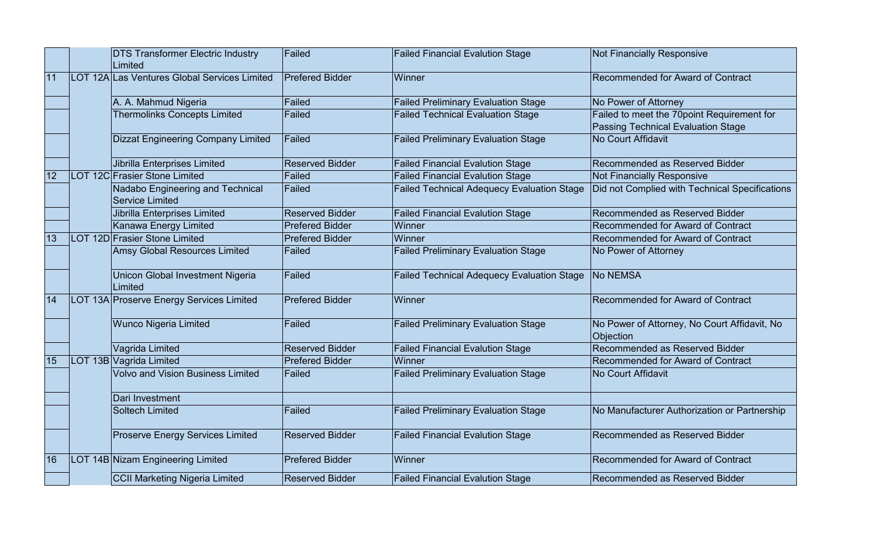|    | <b>DTS Transformer Electric Industry</b><br>Limited               | Failed                 | <b>Failed Financial Evalution Stage</b>           | <b>Not Financially Responsive</b>                                                |
|----|-------------------------------------------------------------------|------------------------|---------------------------------------------------|----------------------------------------------------------------------------------|
| 11 | LOT 12A Las Ventures Global Services Limited                      | <b>Prefered Bidder</b> | Winner                                            | Recommended for Award of Contract                                                |
|    | A. A. Mahmud Nigeria                                              | Failed                 | <b>Failed Preliminary Evaluation Stage</b>        | No Power of Attorney                                                             |
|    | <b>Thermolinks Concepts Limited</b>                               | Failed                 | <b>Failed Technical Evaluation Stage</b>          | Failed to meet the 70point Requirement for<br>Passing Technical Evaluation Stage |
|    | Dizzat Engineering Company Limited                                | Failed                 | <b>Failed Preliminary Evaluation Stage</b>        | <b>No Court Affidavit</b>                                                        |
|    | Jibrilla Enterprises Limited                                      | <b>Reserved Bidder</b> | <b>Failed Financial Evalution Stage</b>           | Recommended as Reserved Bidder                                                   |
| 12 | LOT 12C Frasier Stone Limited                                     | Failed                 | <b>Failed Financial Evalution Stage</b>           | <b>Not Financially Responsive</b>                                                |
|    | <b>Nadabo Engineering and Technical</b><br><b>Service Limited</b> | Failed                 | <b>Failed Technical Adequecy Evaluation Stage</b> | Did not Complied with Technical Specifications                                   |
|    | Jibrilla Enterprises Limited                                      | <b>Reserved Bidder</b> | <b>Failed Financial Evalution Stage</b>           | Recommended as Reserved Bidder                                                   |
|    | Kanawa Energy Limited                                             | <b>Prefered Bidder</b> | Winner                                            | Recommended for Award of Contract                                                |
| 13 | LOT 12D Frasier Stone Limited                                     | <b>Prefered Bidder</b> | Winner                                            | Recommended for Award of Contract                                                |
|    | <b>Amsy Global Resources Limited</b>                              | Failed                 | <b>Failed Preliminary Evaluation Stage</b>        | No Power of Attorney                                                             |
|    | Unicon Global Investment Nigeria<br>Limited                       | Failed                 | <b>Failed Technical Adequecy Evaluation Stage</b> | <b>No NEMSA</b>                                                                  |
| 14 | LOT 13A Proserve Energy Services Limited                          | <b>Prefered Bidder</b> | Winner                                            | Recommended for Award of Contract                                                |
|    | <b>Wunco Nigeria Limited</b>                                      | Failed                 | <b>Failed Preliminary Evaluation Stage</b>        | No Power of Attorney, No Court Affidavit, No<br>Objection                        |
|    | Vagrida Limited                                                   | <b>Reserved Bidder</b> | <b>Failed Financial Evalution Stage</b>           | Recommended as Reserved Bidder                                                   |
| 15 | LOT 13B Vagrida Limited                                           | <b>Prefered Bidder</b> | Winner                                            | Recommended for Award of Contract                                                |
|    | <b>Volvo and Vision Business Limited</b>                          | Failed                 | <b>Failed Preliminary Evaluation Stage</b>        | No Court Affidavit                                                               |
|    | Dari Investment                                                   |                        |                                                   |                                                                                  |
|    | <b>Soltech Limited</b>                                            | Failed                 | <b>Failed Preliminary Evaluation Stage</b>        | No Manufacturer Authorization or Partnership                                     |
|    | <b>Proserve Energy Services Limited</b>                           | <b>Reserved Bidder</b> | <b>Failed Financial Evalution Stage</b>           | Recommended as Reserved Bidder                                                   |
| 16 | LOT 14B Nizam Engineering Limited                                 | <b>Prefered Bidder</b> | Winner                                            | Recommended for Award of Contract                                                |
|    | CCII Marketing Nigeria Limited                                    | <b>Reserved Bidder</b> | <b>Failed Financial Evalution Stage</b>           | Recommended as Reserved Bidder                                                   |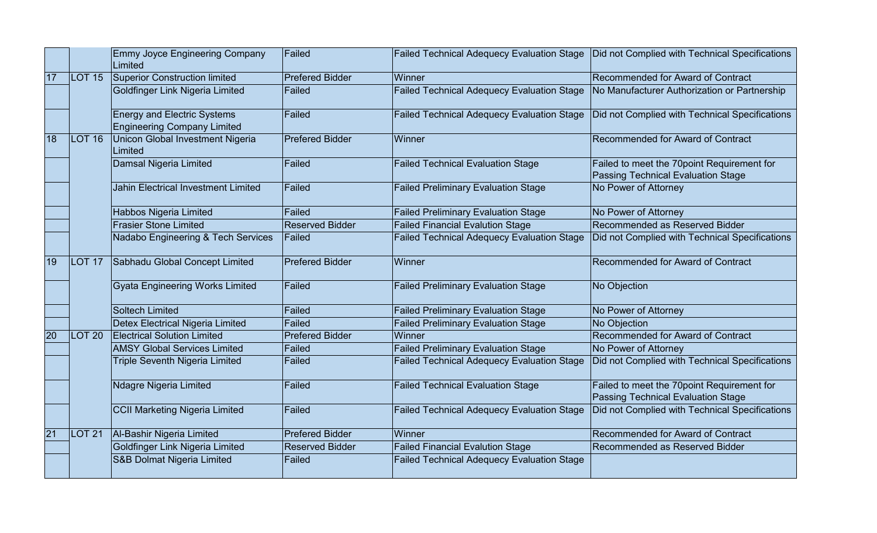|    |                   | Emmy Joyce Engineering Company<br>Limited                         | Failed                 | <b>Failed Technical Adequecy Evaluation Stage</b> | Did not Complied with Technical Specifications                                          |
|----|-------------------|-------------------------------------------------------------------|------------------------|---------------------------------------------------|-----------------------------------------------------------------------------------------|
| 17 | LOT <sub>15</sub> | Superior Construction limited                                     | <b>Prefered Bidder</b> | Winner                                            | Recommended for Award of Contract                                                       |
|    |                   | Goldfinger Link Nigeria Limited                                   | Failed                 | <b>Failed Technical Adequecy Evaluation Stage</b> | No Manufacturer Authorization or Partnership                                            |
|    |                   | <b>Energy and Electric Systems</b><br>Engineering Company Limited | Failed                 | <b>Failed Technical Adequecy Evaluation Stage</b> | Did not Complied with Technical Specifications                                          |
| 18 | LOT 16            | Unicon Global Investment Nigeria<br>Limited                       | <b>Prefered Bidder</b> | Winner                                            | Recommended for Award of Contract                                                       |
|    |                   | Damsal Nigeria Limited                                            | Failed                 | <b>Failed Technical Evaluation Stage</b>          | Failed to meet the 70point Requirement for<br><b>Passing Technical Evaluation Stage</b> |
|    |                   | Jahin Electrical Investment Limited                               | Failed                 | <b>Failed Preliminary Evaluation Stage</b>        | No Power of Attorney                                                                    |
|    |                   | Habbos Nigeria Limited                                            | Failed                 | <b>Failed Preliminary Evaluation Stage</b>        | No Power of Attorney                                                                    |
|    |                   | <b>Frasier Stone Limited</b>                                      | <b>Reserved Bidder</b> | <b>Failed Financial Evalution Stage</b>           | Recommended as Reserved Bidder                                                          |
|    |                   | Nadabo Engineering & Tech Services                                | Failed                 | <b>Failed Technical Adequecy Evaluation Stage</b> | Did not Complied with Technical Specifications                                          |
| 19 | LOT <sub>17</sub> | Sabhadu Global Concept Limited                                    | <b>Prefered Bidder</b> | Winner                                            | Recommended for Award of Contract                                                       |
|    |                   | <b>Gyata Engineering Works Limited</b>                            | Failed                 | <b>Failed Preliminary Evaluation Stage</b>        | No Objection                                                                            |
|    |                   | Soltech Limited                                                   | Failed                 | <b>Failed Preliminary Evaluation Stage</b>        | No Power of Attorney                                                                    |
|    |                   | Detex Electrical Nigeria Limited                                  | Failed                 | <b>Failed Preliminary Evaluation Stage</b>        | No Objection                                                                            |
| 20 | LOT <sub>20</sub> | <b>Electrical Solution Limited</b>                                | <b>Prefered Bidder</b> | Winner                                            | Recommended for Award of Contract                                                       |
|    |                   | <b>AMSY Global Services Limited</b>                               | Failed                 | <b>Failed Preliminary Evaluation Stage</b>        | No Power of Attorney                                                                    |
|    |                   | <b>Triple Seventh Nigeria Limited</b>                             | Failed                 | <b>Failed Technical Adequecy Evaluation Stage</b> | Did not Complied with Technical Specifications                                          |
|    |                   | Ndagre Nigeria Limited                                            | Failed                 | <b>Failed Technical Evaluation Stage</b>          | Failed to meet the 70point Requirement for<br><b>Passing Technical Evaluation Stage</b> |
|    |                   | CCII Marketing Nigeria Limited                                    | Failed                 | <b>Failed Technical Adequecy Evaluation Stage</b> | Did not Complied with Technical Specifications                                          |
| 21 | $ $ LOT 21        | Al-Bashir Nigeria Limited                                         | Prefered Bidder        | Winner                                            | Recommended for Award of Contract                                                       |
|    |                   | Goldfinger Link Nigeria Limited                                   | <b>Reserved Bidder</b> | <b>Failed Financial Evalution Stage</b>           | Recommended as Reserved Bidder                                                          |
|    |                   | S&B Dolmat Nigeria Limited                                        | Failed                 | <b>Failed Technical Adequecy Evaluation Stage</b> |                                                                                         |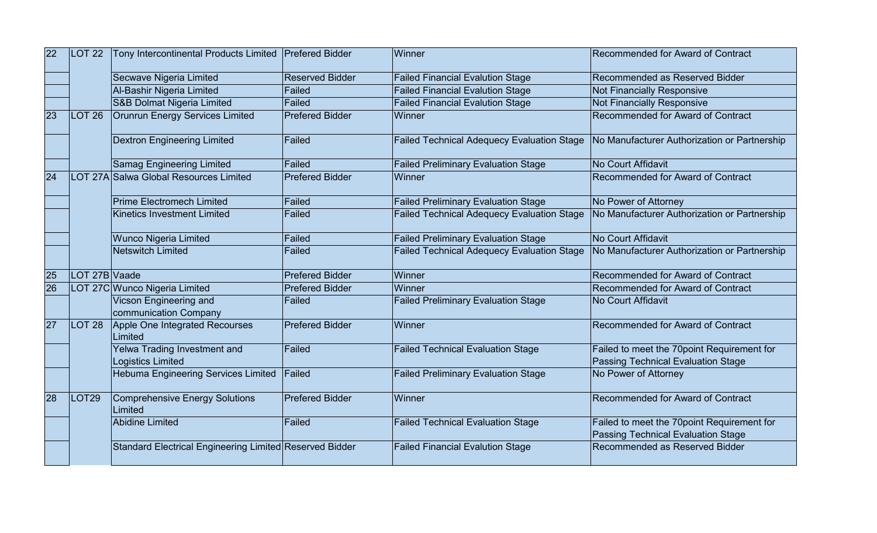| 22<br><b>LOT 22</b> | Tony Intercontinental Products Limited Prefered Bidder |                                                         | Winner                 | Recommended for Award of Contract                 |                                                                                  |
|---------------------|--------------------------------------------------------|---------------------------------------------------------|------------------------|---------------------------------------------------|----------------------------------------------------------------------------------|
|                     |                                                        | Secwave Nigeria Limited                                 | <b>Reserved Bidder</b> | <b>Failed Financial Evalution Stage</b>           | Recommended as Reserved Bidder                                                   |
|                     |                                                        | Al-Bashir Nigeria Limited                               | Failed                 | <b>Failed Financial Evalution Stage</b>           | <b>Not Financially Responsive</b>                                                |
|                     |                                                        | S&B Dolmat Nigeria Limited                              | Failed                 | <b>Failed Financial Evalution Stage</b>           | <b>Not Financially Responsive</b>                                                |
| 23                  | LOT <sub>26</sub>                                      | <b>Orunrun Energy Services Limited</b>                  | <b>Prefered Bidder</b> | Winner                                            | Recommended for Award of Contract                                                |
|                     |                                                        | <b>Dextron Engineering Limited</b>                      | Failed                 | <b>Failed Technical Adequecy Evaluation Stage</b> | No Manufacturer Authorization or Partnership                                     |
|                     |                                                        | <b>Samag Engineering Limited</b>                        | Failed                 | <b>Failed Preliminary Evaluation Stage</b>        | <b>No Court Affidavit</b>                                                        |
| 24                  |                                                        | LOT 27A Salwa Global Resources Limited                  | <b>Prefered Bidder</b> | Winner                                            | Recommended for Award of Contract                                                |
|                     |                                                        | <b>Prime Electromech Limited</b>                        | Failed                 | <b>Failed Preliminary Evaluation Stage</b>        | No Power of Attorney                                                             |
|                     |                                                        | Kinetics Investment Limited                             | Failed                 | <b>Failed Technical Adequecy Evaluation Stage</b> | No Manufacturer Authorization or Partnership                                     |
|                     |                                                        | <b>Wunco Nigeria Limited</b>                            | Failed                 | <b>Failed Preliminary Evaluation Stage</b>        | <b>No Court Affidavit</b>                                                        |
|                     |                                                        | Netswitch Limited                                       | Failed                 | <b>Failed Technical Adequecy Evaluation Stage</b> | No Manufacturer Authorization or Partnership                                     |
| 25                  | LOT 27B Vaade                                          |                                                         | <b>Prefered Bidder</b> | Winner                                            | Recommended for Award of Contract                                                |
| 26                  |                                                        | LOT 27C Wunco Nigeria Limited                           | <b>Prefered Bidder</b> | Winner                                            | Recommended for Award of Contract                                                |
|                     |                                                        | Vicson Engineering and<br>communication Company         | Failed                 | <b>Failed Preliminary Evaluation Stage</b>        | <b>No Court Affidavit</b>                                                        |
| 27                  | <b>LOT 28</b>                                          | Apple One Integrated Recourses<br>Limited               | <b>Prefered Bidder</b> | Winner                                            | Recommended for Award of Contract                                                |
|                     |                                                        | Yelwa Trading Investment and<br>Logistics Limited       | Failed                 | <b>Failed Technical Evaluation Stage</b>          | Failed to meet the 70point Requirement for<br>Passing Technical Evaluation Stage |
|                     |                                                        | Hebuma Engineering Services Limited                     | Failed                 | <b>Failed Preliminary Evaluation Stage</b>        | No Power of Attorney                                                             |
| 28                  | <b>LOT29</b>                                           | Comprehensive Energy Solutions<br>Limited               | <b>Prefered Bidder</b> | Winner                                            | Recommended for Award of Contract                                                |
|                     |                                                        | Abidine Limited                                         | Failed                 | <b>Failed Technical Evaluation Stage</b>          | Failed to meet the 70point Requirement for<br>Passing Technical Evaluation Stage |
|                     |                                                        | Standard Electrical Engineering Limited Reserved Bidder |                        | <b>Failed Financial Evalution Stage</b>           | Recommended as Reserved Bidder                                                   |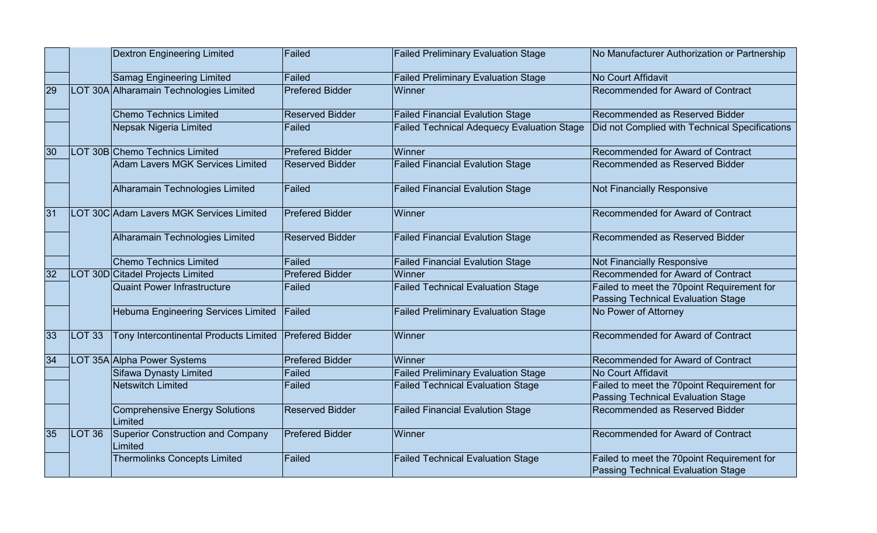|    |                   | <b>Dextron Engineering Limited</b>           | Failed                 | <b>Failed Preliminary Evaluation Stage</b>        | No Manufacturer Authorization or Partnership                                            |
|----|-------------------|----------------------------------------------|------------------------|---------------------------------------------------|-----------------------------------------------------------------------------------------|
|    |                   | Samag Engineering Limited                    | Failed                 | <b>Failed Preliminary Evaluation Stage</b>        | No Court Affidavit                                                                      |
| 29 |                   | LOT 30A Alharamain Technologies Limited      | <b>Prefered Bidder</b> | Winner                                            | Recommended for Award of Contract                                                       |
|    |                   | <b>Chemo Technics Limited</b>                | <b>Reserved Bidder</b> | <b>Failed Financial Evalution Stage</b>           | Recommended as Reserved Bidder                                                          |
|    |                   | Nepsak Nigeria Limited                       | Failed                 | <b>Failed Technical Adequecy Evaluation Stage</b> | Did not Complied with Technical Specifications                                          |
| 30 |                   | LOT 30B Chemo Technics Limited               | <b>Prefered Bidder</b> | Winner                                            | <b>Recommended for Award of Contract</b>                                                |
|    |                   | Adam Lavers MGK Services Limited             | Reserved Bidder        | <b>Failed Financial Evalution Stage</b>           | Recommended as Reserved Bidder                                                          |
|    |                   | Alharamain Technologies Limited              | Failed                 | <b>Failed Financial Evalution Stage</b>           | <b>Not Financially Responsive</b>                                                       |
| 31 |                   | LOT 30C Adam Lavers MGK Services Limited     | <b>Prefered Bidder</b> | Winner                                            | Recommended for Award of Contract                                                       |
|    |                   | Alharamain Technologies Limited              | Reserved Bidder        | <b>Failed Financial Evalution Stage</b>           | Recommended as Reserved Bidder                                                          |
|    |                   | Chemo Technics Limited                       | Failed                 | <b>Failed Financial Evalution Stage</b>           | <b>Not Financially Responsive</b>                                                       |
| 32 |                   | LOT 30D Citadel Projects Limited             | Prefered Bidder        | Winner                                            | Recommended for Award of Contract                                                       |
|    |                   | <b>Quaint Power Infrastructure</b>           | Failed                 | <b>Failed Technical Evaluation Stage</b>          | Failed to meet the 70point Requirement for<br><b>Passing Technical Evaluation Stage</b> |
|    |                   | Hebuma Engineering Services Limited          | Failed                 | <b>Failed Preliminary Evaluation Stage</b>        | No Power of Attorney                                                                    |
| 33 | LOT <sub>33</sub> | Tony Intercontinental Products Limited       | <b>Prefered Bidder</b> | Winner                                            | Recommended for Award of Contract                                                       |
| 34 |                   | LOT 35A Alpha Power Systems                  | Prefered Bidder        | Winner                                            | Recommended for Award of Contract                                                       |
|    |                   | Sifawa Dynasty Limited                       | Failed                 | <b>Failed Preliminary Evaluation Stage</b>        | No Court Affidavit                                                                      |
|    |                   | Netswitch Limited                            | Failed                 | <b>Failed Technical Evaluation Stage</b>          | Failed to meet the 70point Requirement for<br><b>Passing Technical Evaluation Stage</b> |
|    |                   | Comprehensive Energy Solutions<br>Limited    | Reserved Bidder        | <b>Failed Financial Evalution Stage</b>           | Recommended as Reserved Bidder                                                          |
| 35 | $ $ LOT 36        | Superior Construction and Company<br>Limited | Prefered Bidder        | Winner                                            | Recommended for Award of Contract                                                       |
|    |                   | <b>Thermolinks Concepts Limited</b>          | Failed                 | <b>Failed Technical Evaluation Stage</b>          | Failed to meet the 70point Requirement for<br><b>Passing Technical Evaluation Stage</b> |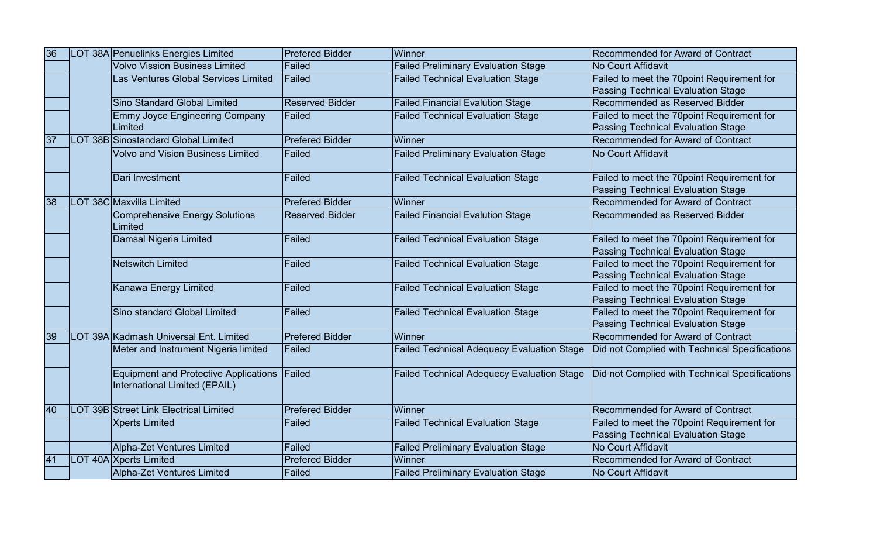| 36 | LOT 38A Penuelinks Energies Limited                                           | Prefered Bidder        | Winner                                            | Recommended for Award of Contract              |
|----|-------------------------------------------------------------------------------|------------------------|---------------------------------------------------|------------------------------------------------|
|    | Volvo Vission Business Limited                                                | Failed                 | <b>Failed Preliminary Evaluation Stage</b>        | No Court Affidavit                             |
|    | Las Ventures Global Services Limited                                          | Failed                 | <b>Failed Technical Evaluation Stage</b>          | Failed to meet the 70point Requirement for     |
|    |                                                                               |                        |                                                   | <b>Passing Technical Evaluation Stage</b>      |
|    | Sino Standard Global Limited                                                  | <b>Reserved Bidder</b> | <b>Failed Financial Evalution Stage</b>           | Recommended as Reserved Bidder                 |
|    | <b>Emmy Joyce Engineering Company</b>                                         | Failed                 | <b>Failed Technical Evaluation Stage</b>          | Failed to meet the 70point Requirement for     |
|    | Limited                                                                       |                        |                                                   | <b>Passing Technical Evaluation Stage</b>      |
| 37 | LOT 38B Sinostandard Global Limited                                           | <b>Prefered Bidder</b> | Winner                                            | Recommended for Award of Contract              |
|    | <b>Volvo and Vision Business Limited</b>                                      | Failed                 | <b>Failed Preliminary Evaluation Stage</b>        | No Court Affidavit                             |
|    | Dari Investment                                                               | Failed                 | <b>Failed Technical Evaluation Stage</b>          | Failed to meet the 70point Requirement for     |
|    |                                                                               |                        |                                                   | <b>Passing Technical Evaluation Stage</b>      |
| 38 | LOT 38C Maxvilla Limited                                                      | Prefered Bidder        | Winner                                            | Recommended for Award of Contract              |
|    | <b>Comprehensive Energy Solutions</b><br>Limited                              | <b>Reserved Bidder</b> | <b>Failed Financial Evalution Stage</b>           | Recommended as Reserved Bidder                 |
|    | Damsal Nigeria Limited                                                        | Failed                 | <b>Failed Technical Evaluation Stage</b>          | Failed to meet the 70point Requirement for     |
|    |                                                                               |                        |                                                   | <b>Passing Technical Evaluation Stage</b>      |
|    | Netswitch Limited                                                             | Failed                 | <b>Failed Technical Evaluation Stage</b>          | Failed to meet the 70point Requirement for     |
|    |                                                                               |                        |                                                   | <b>Passing Technical Evaluation Stage</b>      |
|    | Kanawa Energy Limited                                                         | Failed                 | <b>Failed Technical Evaluation Stage</b>          | Failed to meet the 70point Requirement for     |
|    |                                                                               |                        |                                                   | <b>Passing Technical Evaluation Stage</b>      |
|    | Sino standard Global Limited                                                  | Failed                 | <b>Failed Technical Evaluation Stage</b>          | Failed to meet the 70point Requirement for     |
|    |                                                                               |                        |                                                   | <b>Passing Technical Evaluation Stage</b>      |
| 39 | LOT 39A Kadmash Universal Ent. Limited                                        | Prefered Bidder        | Winner                                            | Recommended for Award of Contract              |
|    | Meter and Instrument Nigeria limited                                          | Failed                 | <b>Failed Technical Adequecy Evaluation Stage</b> | Did not Complied with Technical Specifications |
|    | Equipment and Protective Applications Failed<br>International Limited (EPAIL) |                        | <b>Failed Technical Adequecy Evaluation Stage</b> | Did not Complied with Technical Specifications |
| 40 | LOT 39B Street Link Electrical Limited                                        | <b>Prefered Bidder</b> | Winner                                            | Recommended for Award of Contract              |
|    | <b>Xperts Limited</b>                                                         | Failed                 | <b>Failed Technical Evaluation Stage</b>          | Failed to meet the 70point Requirement for     |
|    |                                                                               |                        |                                                   | <b>Passing Technical Evaluation Stage</b>      |
|    | Alpha-Zet Ventures Limited                                                    | Failed                 | <b>Failed Preliminary Evaluation Stage</b>        | No Court Affidavit                             |
| 41 | LOT 40A Xperts Limited                                                        | <b>Prefered Bidder</b> | Winner                                            | Recommended for Award of Contract              |
|    | Alpha-Zet Ventures Limited                                                    | Failed                 | <b>Failed Preliminary Evaluation Stage</b>        | No Court Affidavit                             |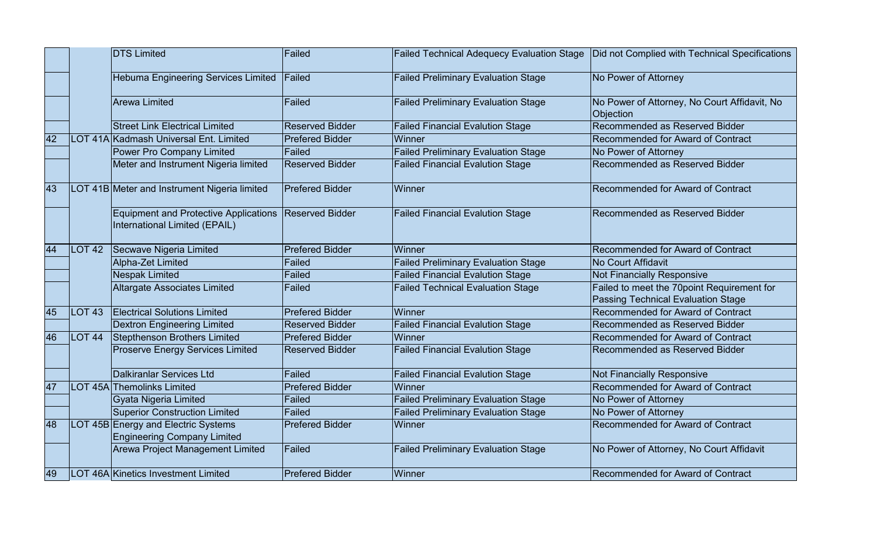|    |                   | <b>DTS Limited</b>                                                            | Failed                 | <b>Failed Technical Adequecy Evaluation Stage</b> | Did not Complied with Technical Specifications            |
|----|-------------------|-------------------------------------------------------------------------------|------------------------|---------------------------------------------------|-----------------------------------------------------------|
|    |                   | <b>Hebuma Engineering Services Limited</b>                                    | Failed                 | <b>Failed Preliminary Evaluation Stage</b>        | No Power of Attorney                                      |
|    |                   | Arewa Limited                                                                 | Failed                 | <b>Failed Preliminary Evaluation Stage</b>        | No Power of Attorney, No Court Affidavit, No<br>Objection |
|    |                   | <b>Street Link Electrical Limited</b>                                         | <b>Reserved Bidder</b> | <b>Failed Financial Evalution Stage</b>           | Recommended as Reserved Bidder                            |
| 42 |                   | LOT 41A Kadmash Universal Ent. Limited                                        | <b>Prefered Bidder</b> | Winner                                            | Recommended for Award of Contract                         |
|    |                   | Power Pro Company Limited                                                     | Failed                 | <b>Failed Preliminary Evaluation Stage</b>        | No Power of Attorney                                      |
|    |                   | Meter and Instrument Nigeria limited                                          | <b>Reserved Bidder</b> | <b>Failed Financial Evalution Stage</b>           | Recommended as Reserved Bidder                            |
| 43 |                   | LOT 41B Meter and Instrument Nigeria limited                                  | <b>Prefered Bidder</b> | Winner                                            | Recommended for Award of Contract                         |
|    |                   | <b>Equipment and Protective Applications</b><br>International Limited (EPAIL) | <b>Reserved Bidder</b> | <b>Failed Financial Evalution Stage</b>           | Recommended as Reserved Bidder                            |
| 44 | $ $ LOT 42        | Secwave Nigeria Limited                                                       | <b>Prefered Bidder</b> | Winner                                            | Recommended for Award of Contract                         |
|    |                   | Alpha-Zet Limited                                                             | Failed                 | <b>Failed Preliminary Evaluation Stage</b>        | No Court Affidavit                                        |
|    |                   | <b>Nespak Limited</b>                                                         | Failed                 | <b>Failed Financial Evalution Stage</b>           | <b>Not Financially Responsive</b>                         |
|    |                   | Altargate Associates Limited                                                  | Failed                 | <b>Failed Technical Evaluation Stage</b>          | Failed to meet the 70point Requirement for                |
|    |                   |                                                                               |                        |                                                   | <b>Passing Technical Evaluation Stage</b>                 |
| 45 | LOT <sub>43</sub> | <b>Electrical Solutions Limited</b>                                           | <b>Prefered Bidder</b> | Winner                                            | Recommended for Award of Contract                         |
|    |                   | <b>Dextron Engineering Limited</b>                                            | <b>Reserved Bidder</b> | <b>Failed Financial Evalution Stage</b>           | Recommended as Reserved Bidder                            |
| 46 | LOT <sub>44</sub> | <b>Stepthenson Brothers Limited</b>                                           | <b>Prefered Bidder</b> | Winner                                            | Recommended for Award of Contract                         |
|    |                   | <b>Proserve Energy Services Limited</b>                                       | <b>Reserved Bidder</b> | <b>Failed Financial Evalution Stage</b>           | Recommended as Reserved Bidder                            |
|    |                   | <b>Dalkiranlar Services Ltd</b>                                               | Failed                 | <b>Failed Financial Evalution Stage</b>           | <b>Not Financially Responsive</b>                         |
| 47 |                   | LOT 45A Themolinks Limited                                                    | <b>Prefered Bidder</b> | Winner                                            | Recommended for Award of Contract                         |
|    |                   | Gyata Nigeria Limited                                                         | <b>Failed</b>          | <b>Failed Preliminary Evaluation Stage</b>        | No Power of Attorney                                      |
|    |                   | <b>Superior Construction Limited</b>                                          | Failed                 | <b>Failed Preliminary Evaluation Stage</b>        | No Power of Attorney                                      |
| 48 |                   | LOT 45B Energy and Electric Systems<br><b>Engineering Company Limited</b>     | <b>Prefered Bidder</b> | Winner                                            | Recommended for Award of Contract                         |
|    |                   | Arewa Project Management Limited                                              | Failed                 | <b>Failed Preliminary Evaluation Stage</b>        | No Power of Attorney, No Court Affidavit                  |
| 49 |                   | LOT 46A Kinetics Investment Limited                                           | <b>Prefered Bidder</b> | Winner                                            | Recommended for Award of Contract                         |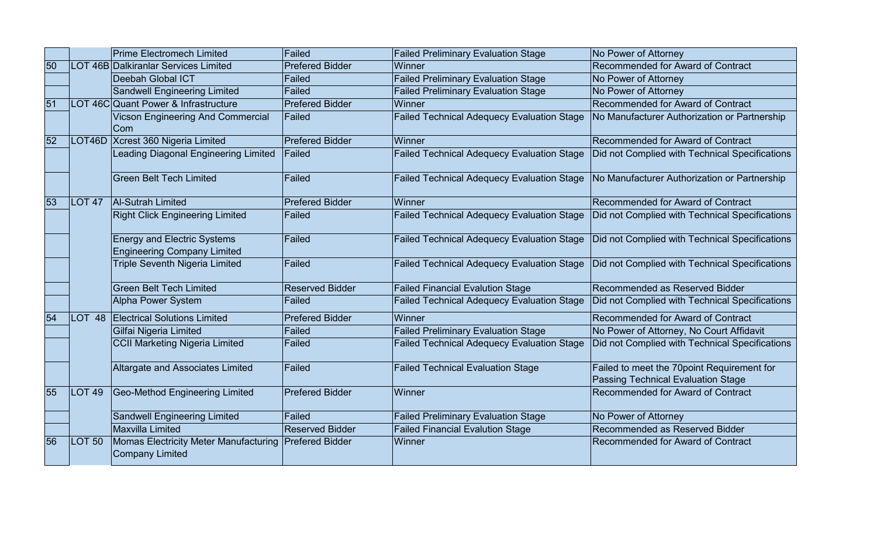|    |                   | <b>Prime Electromech Limited</b>                                         | Failed                 | <b>Failed Preliminary Evaluation Stage</b>        | No Power of Attorney                                                              |
|----|-------------------|--------------------------------------------------------------------------|------------------------|---------------------------------------------------|-----------------------------------------------------------------------------------|
| 50 |                   | LOT 46B Dalkiranlar Services Limited                                     | <b>Prefered Bidder</b> | Winner                                            | Recommended for Award of Contract                                                 |
|    |                   | Deebah Global ICT                                                        | Failed                 | <b>Failed Preliminary Evaluation Stage</b>        | No Power of Attorney                                                              |
|    |                   | Sandwell Engineering Limited                                             | Failed                 | <b>Failed Preliminary Evaluation Stage</b>        | No Power of Attorney                                                              |
| 51 |                   | LOT 46C Quant Power & Infrastructure                                     | <b>Prefered Bidder</b> | Winner                                            | Recommended for Award of Contract                                                 |
|    |                   | Vicson Engineering And Commercial<br>Com                                 | Failed                 | <b>Failed Technical Adequecy Evaluation Stage</b> | No Manufacturer Authorization or Partnership                                      |
| 52 |                   | LOT46D Xcrest 360 Nigeria Limited                                        | <b>Prefered Bidder</b> | Winner                                            | Recommended for Award of Contract                                                 |
|    |                   | Leading Diagonal Engineering Limited                                     | Failed                 | <b>Failed Technical Adequecy Evaluation Stage</b> | Did not Complied with Technical Specifications                                    |
|    |                   | <b>Green Belt Tech Limited</b>                                           | Failed                 | <b>Failed Technical Adequecy Evaluation Stage</b> | No Manufacturer Authorization or Partnership                                      |
| 53 | LOT <sub>47</sub> | Al-Sutrah Limited                                                        | <b>Prefered Bidder</b> | Winner                                            | Recommended for Award of Contract                                                 |
|    |                   | <b>Right Click Engineering Limited</b>                                   | Failed                 | <b>Failed Technical Adequecy Evaluation Stage</b> | Did not Complied with Technical Specifications                                    |
|    |                   | <b>Energy and Electric Systems</b><br><b>Engineering Company Limited</b> | Failed                 | <b>Failed Technical Adequecy Evaluation Stage</b> | Did not Complied with Technical Specifications                                    |
|    |                   | Triple Seventh Nigeria Limited                                           | Failed                 | <b>Failed Technical Adequecy Evaluation Stage</b> | Did not Complied with Technical Specifications                                    |
|    |                   | <b>Green Belt Tech Limited</b>                                           | <b>Reserved Bidder</b> | <b>Failed Financial Evalution Stage</b>           | Recommended as Reserved Bidder                                                    |
|    |                   | Alpha Power System                                                       | Failed                 | <b>Failed Technical Adequecy Evaluation Stage</b> | Did not Complied with Technical Specifications                                    |
| 54 | LOT <sub>48</sub> | <b>Electrical Solutions Limited</b>                                      | <b>Prefered Bidder</b> | Winner                                            | Recommended for Award of Contract                                                 |
|    |                   | Gilfai Nigeria Limited                                                   | Failed                 | <b>Failed Preliminary Evaluation Stage</b>        | No Power of Attorney, No Court Affidavit                                          |
|    |                   | CCII Marketing Nigeria Limited                                           | Failed                 | <b>Failed Technical Adequecy Evaluation Stage</b> | Did not Complied with Technical Specifications                                    |
|    |                   | Altargate and Associates Limited                                         | Failed                 | <b>Failed Technical Evaluation Stage</b>          | Failed to meet the 70 point Requirement for<br>Passing Technical Evaluation Stage |
| 55 | <b>LOT 49</b>     | Geo-Method Engineering Limited                                           | <b>Prefered Bidder</b> | Winner                                            | Recommended for Award of Contract                                                 |
|    |                   | Sandwell Engineering Limited                                             | Failed                 | <b>Failed Preliminary Evaluation Stage</b>        | No Power of Attorney                                                              |
|    |                   | Maxvilla Limited                                                         | <b>Reserved Bidder</b> | <b>Failed Financial Evalution Stage</b>           | Recommended as Reserved Bidder                                                    |
| 56 | LOT 50            | Momas Electricity Meter Manufacturing Prefered Bidder<br>Company Limited |                        | Winner                                            | Recommended for Award of Contract                                                 |